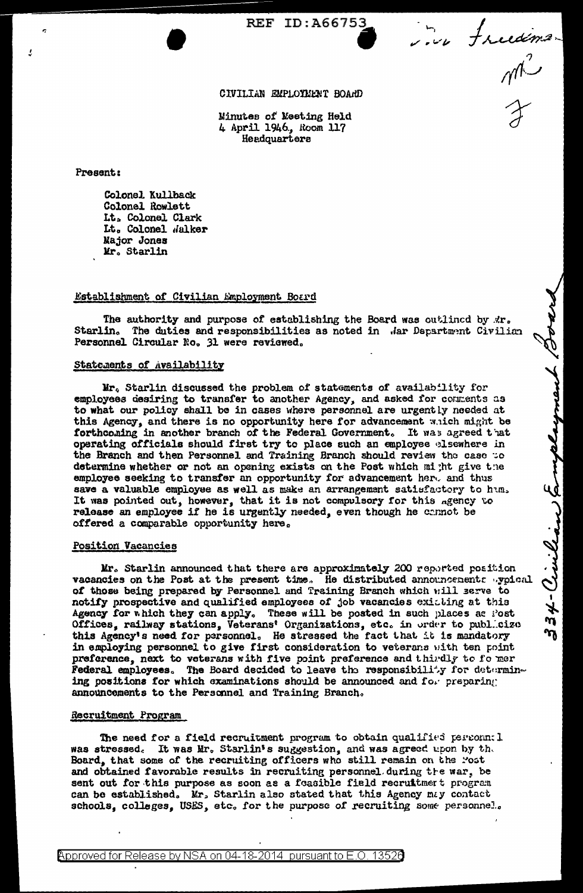**REF ID: A66753** 

in freedomer<br>M<sup>2</sup>

34- Vivilian Employment B

## CIVILIAN EMPLOYMENT BOARD

Minutes of Meeting Held 4 April 1946., Room 117 Headquarters

Present:

Colonel Kullback Colonel Rowlett Lt. Colonel Clark Lt. Colonel Walker Major Jones Mr. Starlin

## Establishment of Civilian Employment Board

The authority and purpose of establishing the Board was outlined by Ar. Starlin. The duties and responsibilities as noted in Jar Department Civilian Personnel Circular No. 31 were reviewed.

#### Statements of Availability

Mr. Starlin discussed the problem of statements of availability for<br>employees desiring to transfer to another Agency, and asked for comments as<br>to what our policy shall be in cases where personnel are urgently needed at this Agency, and there is no opportunity here for advancement which might be forthcoming in another branch of the Federal Government. It was agreed that operating officials should first try to place such an employee elsewhere in the Branch and then Personnel and Training Branch should review the case to determine whether or not an opening exists on the Post which might give the employee seeking to transfer an opportunity for advancement here and thus save a valuable employee as well as make an arrangement satisfactory to hum. It was pointed out, however, that it is not compulsory for this agency to release an employee if he is urgently needed, even though he connot be offered a comparable opportunity here.

#### **Position Vacancies**

Mr. Starlin announced that there are approximately 200 reported position vacancies on the Post at the present time. He distributed announcements sypical of those being prepared by Personnel and Training Branch which will serve to notify prospective and qualified employees of job vacancies exicting at this Agency for which they can apply. These will be posted in such places as Post Offices, railway stations, Veterans' Organizations, etc. in order to publ.cizo this Agency's need for personnel. He stressed the fact that it is mandatory in employing personnel to give first consideration to veterans with ten point preference, next to veterans with five point preference and thirdly to fo mer Federal employees. The Board decided to leave the responsibility for determining positions for which examinations should be announced and for preparing announcements to the Personnel and Training Branch.

#### Recruitment Program

The need for a field recruitment program to obtain qualified personn: 1 was stressed. It was Mr. Starlin's suggestion, and was agreed upon by the Board, that some of the recruiting officers who still remain on the Post and obtained favorable results in recruiting personnel during the war, be sent out for this purpose as soon as a foasible field recruitment program can be established. Mr. Starlin also stated that this Agency may contact schools, colleges, USES, etc. for the purpose of recruiting some personnel.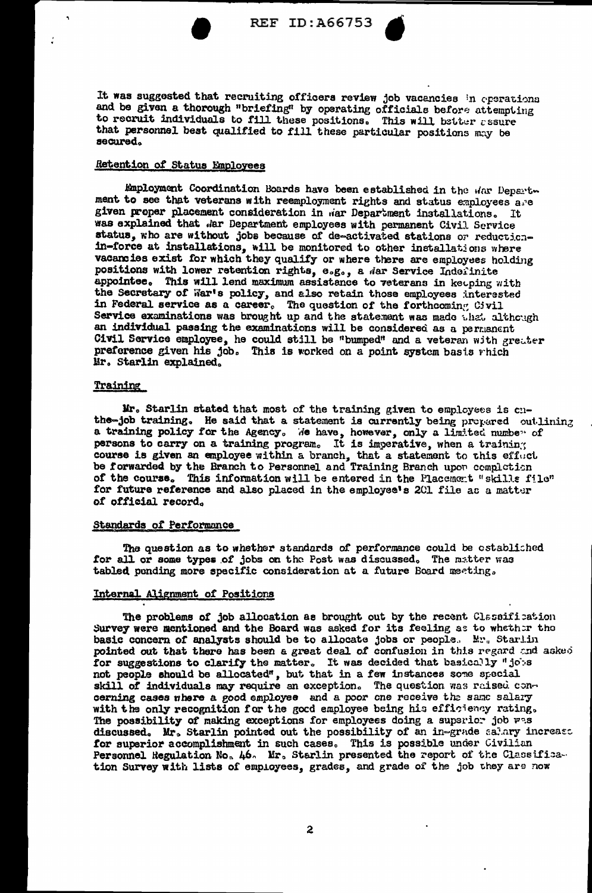

REF ID: A66753

It was suggested that recruiting officers review job vacancies in operations and be given a thorough "briefing" by operating officials before attempting to recruit individuals to fill these positions. This will better assure that personnel best qualified to fill these particular positions may be secured.

# Retention of Status Employees

Employment Coordination Boards have been established in the war Department to see that veterans with reemployment rights and status employees are given proper placement consideration in war Department installations. It was explained that dar Department employees with permanent Civil Service status, who are without jobs because of de-activated stations or reductionin-force at installations, will be monitored to other installations where vacancies exist for which they qualify or where there are employees holding positions with lower retention rights, e.g., a dar Service Indefinite appointee. This will lend maximum assistance to veterans in keeping with the Secretary of War's policy, and also retain those employees interested in Federal service as a career. The question of the forthcoming Civil Service examinations was brought up and the statement was made that although an individual passing the examinations will be considered as a permanent Civil Service employee, he could still be "bumped" and a veteran with greater preference given his job. This is worked on a point system basis which Mr. Starlin explained.

## Training

Mr. Starlin stated that most of the training given to employees is cuthe-job training. He said that a statement is currently being prepared outlining a training policy for the Agency. We have, however, only a limited number of persons to carry on a training program. It is imperative, when a training course is given an employee within a branch, that a statement to this effuct be forwarded by the Branch to Personnel and Training Branch upon completion of the course. This information will be entered in the Placement "skills file" for future reference and also placed in the employee's 201 file ac a matter of official record.

#### **Standards of Performance**

The question as to whether standards of performance could be established for all or some types of jobs on the Post was discussed. The matter was tabled pending more specific consideration at a future Board meeting.

## Internal Alignment of Positions

The problems of job allocation as brought out by the recent Classification Survey were mentioned and the Board was asked for its feeling as to whether the basic concern of analysts should be to allocate jobs or people. Mr. Starlin pointed out that there has been a great deal of confusion in this regard and asked for suggestions to clarify the matter. It was decided that basically "jobs not people should be allocated", but that in a few instances some special skill of individuals may require an exception. The question was raised concerning cases where a good employee and a poor one receive the same salary with the only recognition for the good employee being his efficiency rating. The possibility of making exceptions for employees doing a superior job was discussed. Mr. Starlin pointed out the possibility of an in-grade salary increase for superior accomplishment in such cases. This is possible under Civilian Personnel Regulation No. 46. Mr. Starlin presented the report of the Classification Survey with lists of employees, grades, and grade of the job they are now